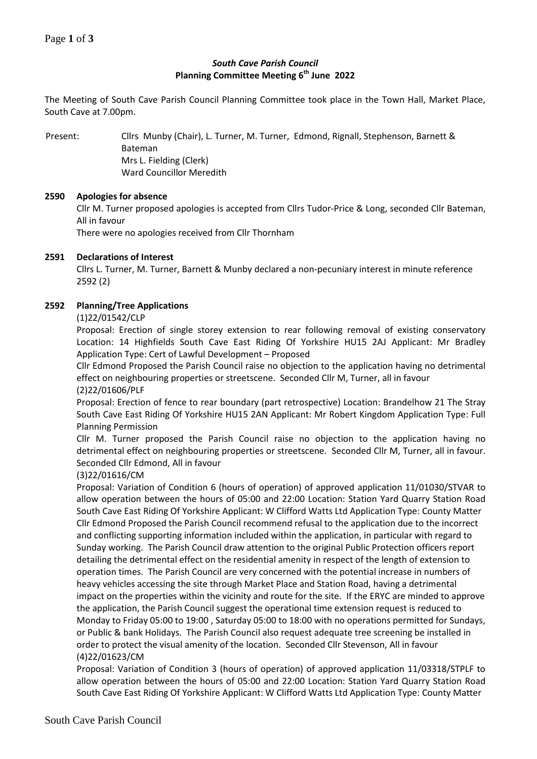# *South Cave Parish Council* **Planning Committee Meeting 6 th June 2022**

The Meeting of South Cave Parish Council Planning Committee took place in the Town Hall, Market Place, South Cave at 7.00pm.

Present: Cllrs Munby (Chair), L. Turner, M. Turner, Edmond, Rignall, Stephenson, Barnett & Bateman Mrs L. Fielding (Clerk) Ward Councillor Meredith

## **2590 Apologies for absence**

Cllr M. Turner proposed apologies is accepted from Cllrs Tudor-Price & Long, seconded Cllr Bateman, All in favour

There were no apologies received from Cllr Thornham

## **2591 Declarations of Interest**

Cllrs L. Turner, M. Turner, Barnett & Munby declared a non-pecuniary interest in minute reference 2592 (2)

## **2592 Planning/Tree Applications**

### (1)22/01542/CLP

Proposal: Erection of single storey extension to rear following removal of existing conservatory Location: 14 Highfields South Cave East Riding Of Yorkshire HU15 2AJ Applicant: Mr Bradley Application Type: Cert of Lawful Development – Proposed

Cllr Edmond Proposed the Parish Council raise no objection to the application having no detrimental effect on neighbouring properties or streetscene. Seconded Cllr M, Turner, all in favour (2)22/01606/PLF

Proposal: Erection of fence to rear boundary (part retrospective) Location: Brandelhow 21 The Stray South Cave East Riding Of Yorkshire HU15 2AN Applicant: Mr Robert Kingdom Application Type: Full Planning Permission

Cllr M. Turner proposed the Parish Council raise no objection to the application having no detrimental effect on neighbouring properties or streetscene. Seconded Cllr M, Turner, all in favour. Seconded Cllr Edmond, All in favour

# (3)22/01616/CM

Proposal: Variation of Condition 6 (hours of operation) of approved application 11/01030/STVAR to allow operation between the hours of 05:00 and 22:00 Location: Station Yard Quarry Station Road South Cave East Riding Of Yorkshire Applicant: W Clifford Watts Ltd Application Type: County Matter Cllr Edmond Proposed the Parish Council recommend refusal to the application due to the incorrect and conflicting supporting information included within the application, in particular with regard to Sunday working. The Parish Council draw attention to the original Public Protection officers report detailing the detrimental effect on the residential amenity in respect of the length of extension to operation times. The Parish Council are very concerned with the potential increase in numbers of heavy vehicles accessing the site through Market Place and Station Road, having a detrimental impact on the properties within the vicinity and route for the site. If the ERYC are minded to approve the application, the Parish Council suggest the operational time extension request is reduced to Monday to Friday 05:00 to 19:00 , Saturday 05:00 to 18:00 with no operations permitted for Sundays, or Public & bank Holidays. The Parish Council also request adequate tree screening be installed in order to protect the visual amenity of the location. Seconded Cllr Stevenson, All in favour (4)22/01623/CM

Proposal: Variation of Condition 3 (hours of operation) of approved application 11/03318/STPLF to allow operation between the hours of 05:00 and 22:00 Location: Station Yard Quarry Station Road South Cave East Riding Of Yorkshire Applicant: W Clifford Watts Ltd Application Type: County Matter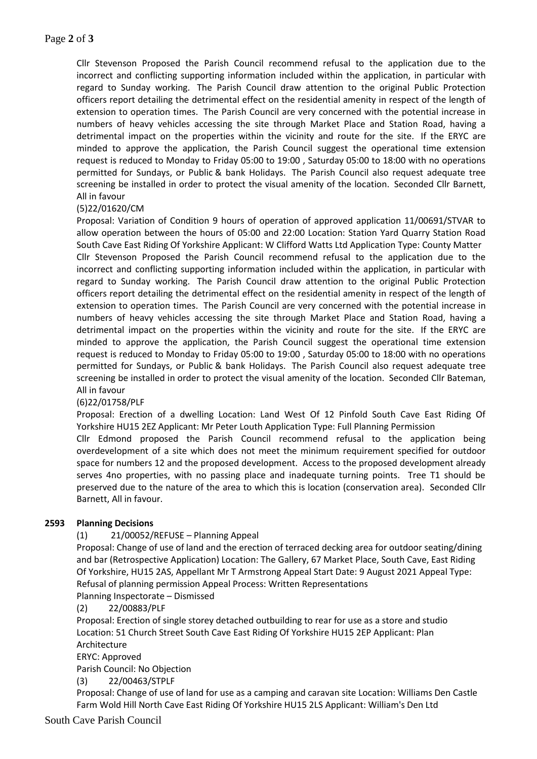Cllr Stevenson Proposed the Parish Council recommend refusal to the application due to the incorrect and conflicting supporting information included within the application, in particular with regard to Sunday working. The Parish Council draw attention to the original Public Protection officers report detailing the detrimental effect on the residential amenity in respect of the length of extension to operation times. The Parish Council are very concerned with the potential increase in numbers of heavy vehicles accessing the site through Market Place and Station Road, having a detrimental impact on the properties within the vicinity and route for the site. If the ERYC are minded to approve the application, the Parish Council suggest the operational time extension request is reduced to Monday to Friday 05:00 to 19:00 , Saturday 05:00 to 18:00 with no operations permitted for Sundays, or Public & bank Holidays. The Parish Council also request adequate tree screening be installed in order to protect the visual amenity of the location. Seconded Cllr Barnett, All in favour

## (5)22/01620/CM

Proposal: Variation of Condition 9 hours of operation of approved application 11/00691/STVAR to allow operation between the hours of 05:00 and 22:00 Location: Station Yard Quarry Station Road South Cave East Riding Of Yorkshire Applicant: W Clifford Watts Ltd Application Type: County Matter Cllr Stevenson Proposed the Parish Council recommend refusal to the application due to the incorrect and conflicting supporting information included within the application, in particular with regard to Sunday working. The Parish Council draw attention to the original Public Protection officers report detailing the detrimental effect on the residential amenity in respect of the length of extension to operation times. The Parish Council are very concerned with the potential increase in numbers of heavy vehicles accessing the site through Market Place and Station Road, having a detrimental impact on the properties within the vicinity and route for the site. If the ERYC are minded to approve the application, the Parish Council suggest the operational time extension request is reduced to Monday to Friday 05:00 to 19:00 , Saturday 05:00 to 18:00 with no operations permitted for Sundays, or Public & bank Holidays. The Parish Council also request adequate tree screening be installed in order to protect the visual amenity of the location. Seconded Cllr Bateman, All in favour

### (6)22/01758/PLF

Proposal: Erection of a dwelling Location: Land West Of 12 Pinfold South Cave East Riding Of Yorkshire HU15 2EZ Applicant: Mr Peter Louth Application Type: Full Planning Permission

Cllr Edmond proposed the Parish Council recommend refusal to the application being overdevelopment of a site which does not meet the minimum requirement specified for outdoor space for numbers 12 and the proposed development. Access to the proposed development already serves 4no properties, with no passing place and inadequate turning points. Tree T1 should be preserved due to the nature of the area to which this is location (conservation area). Seconded Cllr Barnett, All in favour.

### **2593 Planning Decisions**

### (1) 21/00052/REFUSE – Planning Appeal

Proposal: Change of use of land and the erection of terraced decking area for outdoor seating/dining and bar (Retrospective Application) Location: The Gallery, 67 Market Place, South Cave, East Riding Of Yorkshire, HU15 2AS, Appellant Mr T Armstrong Appeal Start Date: 9 August 2021 Appeal Type: Refusal of planning permission Appeal Process: Written Representations

Planning Inspectorate – Dismissed

(2) 22/00883/PLF

Proposal: Erection of single storey detached outbuilding to rear for use as a store and studio Location: 51 Church Street South Cave East Riding Of Yorkshire HU15 2EP Applicant: Plan Architecture

ERYC: Approved

Parish Council: No Objection

(3) 22/00463/STPLF

Proposal: Change of use of land for use as a camping and caravan site Location: Williams Den Castle Farm Wold Hill North Cave East Riding Of Yorkshire HU15 2LS Applicant: William's Den Ltd